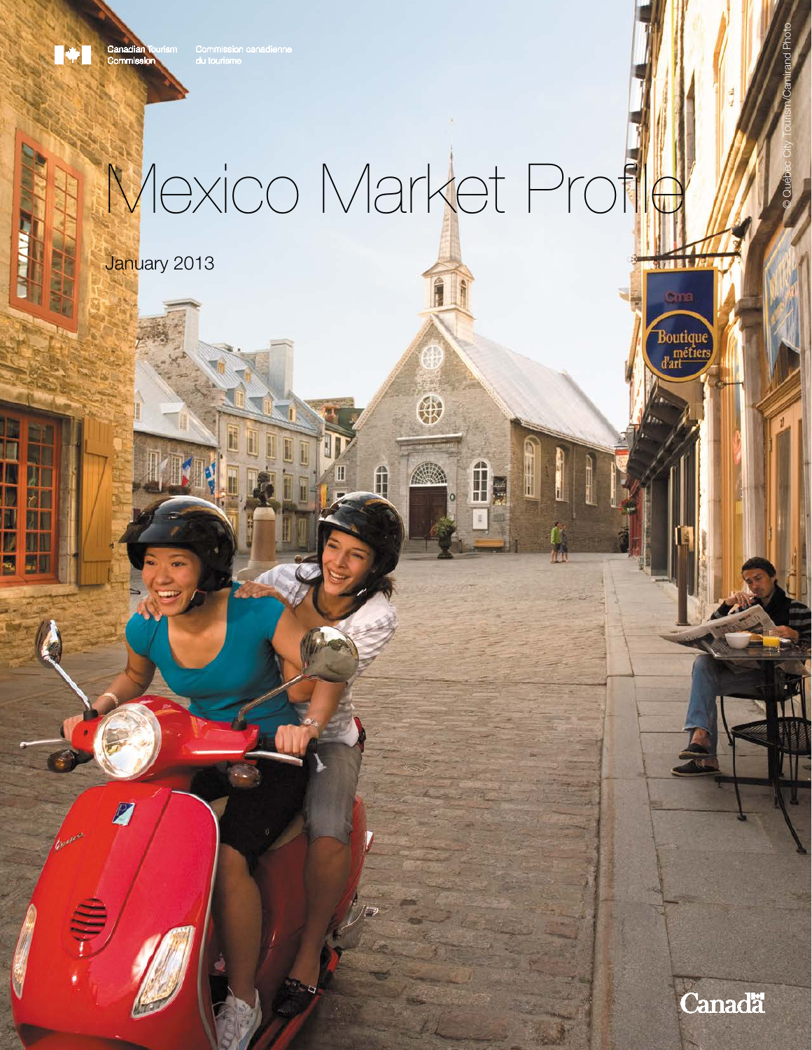# Mexico Market Profile

\$

 $\frac{1}{1}$ 

January 2013

Canadian<br>Commission

1\*1

ľ

III



© Québec City Tourism/Camirand Photo

Boutique<br>d'art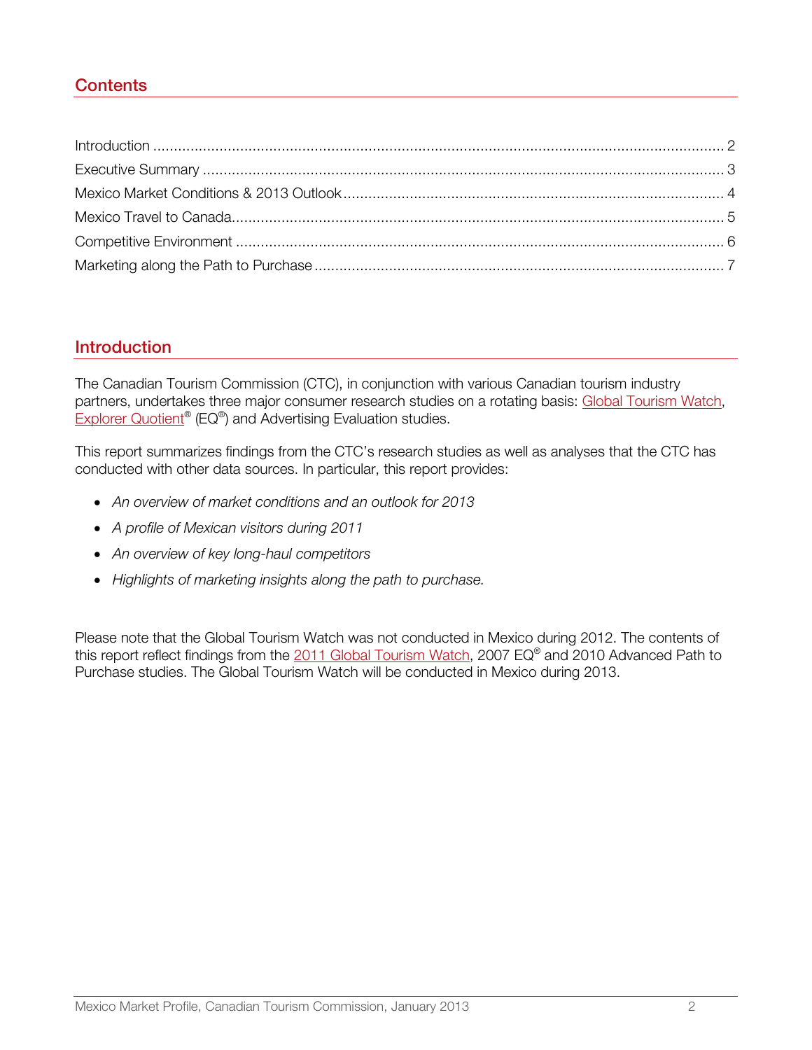# **Contents**

# <span id="page-1-0"></span>**Introduction**

The Canadian Tourism Commission (CTC), in conjunction with various Canadian tourism industry partners, undertakes three major consumer research studies on a rotating basis: [Global Tourism Watch,](http://en-corporate.canada.travel/research/market-knowledge/mexico) [Explorer Quotient®](http://en-corporate.canada.travel/sites/default/files/pdf/Resources/ctc_eq_profiles_2012-eng-lowres.pdf) (EQ®) and Advertising Evaluation studies.

This report summarizes findings from the CTC's research studies as well as analyses that the CTC has conducted with other data sources. In particular, this report provides:

- An overview of market conditions and an outlook for 2013
- A profile of Mexican visitors during 2011
- An overview of key long-haul competitors
- Highlights of marketing insights along the path to purchase.

Please note that the Global Tourism Watch was not conducted in Mexico during 2012. The contents of this report reflect findings from the 2011 [Global Tourism Watch,](http://en-corporate.canada.travel/sites/default/files/pdf/Research/Market-knowledge/Global-tourism-watch/Mexico/gtw_mx_summary_2011_en.pdf) 2007 EQ® and 2010 Advanced Path to Purchase studies. The Global Tourism Watch will be conducted in Mexico during 2013.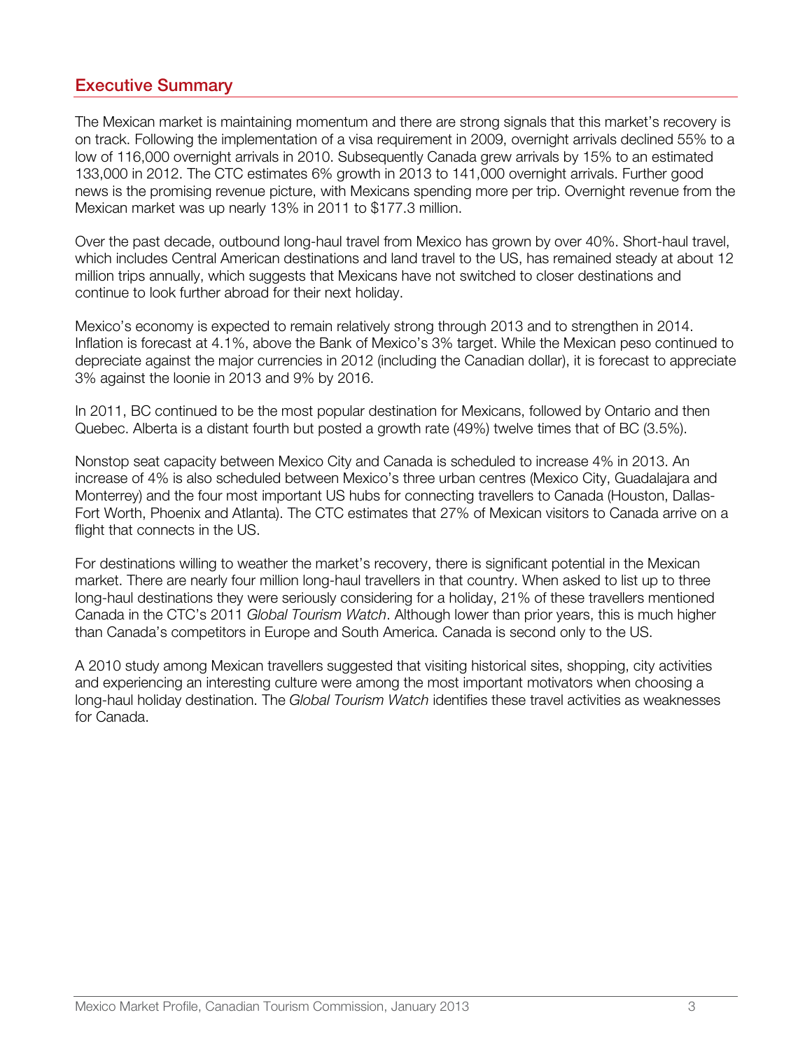# <span id="page-2-0"></span>Executive Summary

The Mexican market is maintaining momentum and there are strong signals that this market's recovery is on track. Following the implementation of a visa requirement in 2009, overnight arrivals declined 55% to a low of 116,000 overnight arrivals in 2010. Subsequently Canada grew arrivals by 15% to an estimated 133,000 in 2012. The CTC estimates 6% growth in 2013 to 141,000 overnight arrivals. Further good news is the promising revenue picture, with Mexicans spending more per trip. Overnight revenue from the Mexican market was up nearly 13% in 2011 to \$177.3 million.

Over the past decade, outbound long-haul travel from Mexico has grown by over 40%. Short-haul travel, which includes Central American destinations and land travel to the US, has remained steady at about 12 million trips annually, which suggests that Mexicans have not switched to closer destinations and continue to look further abroad for their next holiday.

Mexico's economy is expected to remain relatively strong through 2013 and to strengthen in 2014. Inflation is forecast at 4.1%, above the Bank of Mexico's 3% target. While the Mexican peso continued to depreciate against the major currencies in 2012 (including the Canadian dollar), it is forecast to appreciate 3% against the loonie in 2013 and 9% by 2016.

In 2011, BC continued to be the most popular destination for Mexicans, followed by Ontario and then Quebec. Alberta is a distant fourth but posted a growth rate (49%) twelve times that of BC (3.5%).

Nonstop seat capacity between Mexico City and Canada is scheduled to increase 4% in 2013. An increase of 4% is also scheduled between Mexico's three urban centres (Mexico City, Guadalajara and Monterrey) and the four most important US hubs for connecting travellers to Canada (Houston, Dallas-Fort Worth, Phoenix and Atlanta). The CTC estimates that 27% of Mexican visitors to Canada arrive on a flight that connects in the US.

For destinations willing to weather the market's recovery, there is significant potential in the Mexican market. There are nearly four million long-haul travellers in that country. When asked to list up to three long-haul destinations they were seriously considering for a holiday, 21% of these travellers mentioned Canada in the CTC's 2011 Global Tourism Watch. Although lower than prior years, this is much higher than Canada's competitors in Europe and South America. Canada is second only to the US.

A 2010 study among Mexican travellers suggested that visiting historical sites, shopping, city activities and experiencing an interesting culture were among the most important motivators when choosing a long-haul holiday destination. The Global Tourism Watch identifies these travel activities as weaknesses for Canada.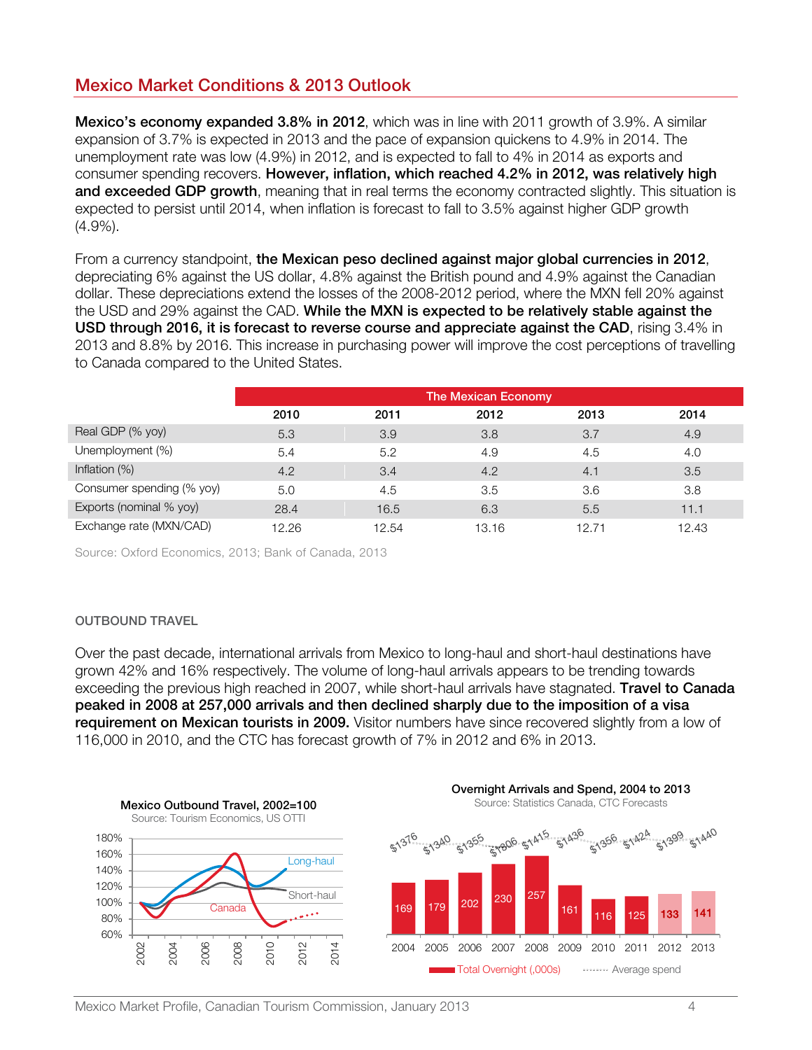# <span id="page-3-0"></span>Mexico Market Conditions & 2013 Outlook

**Mexico's economy expanded 3.8% in 2012**, which was in line with 2011 growth of 3.9%. A similar expansion of 3.7% is expected in 2013 and the pace of expansion quickens to 4.9% in 2014. The unemployment rate was low (4.9%) in 2012, and is expected to fall to 4% in 2014 as exports and consumer spending recovers. However, inflation, which reached 4.2% in 2012, was relatively high and exceeded GDP growth, meaning that in real terms the economy contracted slightly. This situation is expected to persist until 2014, when inflation is forecast to fall to 3.5% against higher GDP growth (4.9%).

From a currency standpoint, the Mexican peso declined against major global currencies in 2012, depreciating 6% against the US dollar, 4.8% against the British pound and 4.9% against the Canadian dollar. These depreciations extend the losses of the 2008-2012 period, where the MXN fell 20% against the USD and 29% against the CAD. While the MXN is expected to be relatively stable against the USD through 2016, it is forecast to reverse course and appreciate against the CAD, rising 3.4% in 2013 and 8.8% by 2016. This increase in purchasing power will improve the cost perceptions of travelling to Canada compared to the United States.

|                           | <b>The Mexican Economy</b> |       |       |       |       |
|---------------------------|----------------------------|-------|-------|-------|-------|
|                           | 2010                       | 2011  | 2012  | 2013  | 2014  |
| Real GDP (% yoy)          | 5.3                        | 3.9   | 3.8   | 3.7   | 4.9   |
| Unemployment (%)          | 5.4                        | 5.2   | 4.9   | 4.5   | 4.0   |
| Inflation $(\%)$          | 4.2                        | 3.4   | 4.2   | 4.1   | 3.5   |
| Consumer spending (% yoy) | 5.0                        | 4.5   | 3.5   | 3.6   | 3.8   |
| Exports (nominal % yoy)   | 28.4                       | 16.5  | 6.3   | 5.5   | 11.1  |
| Exchange rate (MXN/CAD)   | 12.26                      | 12.54 | 13.16 | 12.71 | 12.43 |

Source: Oxford Economics, 2013; Bank of Canada, 2013

## OUTBOUND TRAVEL

Over the past decade, international arrivals from Mexico to long-haul and short-haul destinations have grown 42% and 16% respectively. The volume of long-haul arrivals appears to be trending towards exceeding the previous high reached in 2007, while short-haul arrivals have stagnated. Travel to Canada peaked in 2008 at 257,000 arrivals and then declined sharply due to the imposition of a visa requirement on Mexican tourists in 2009. Visitor numbers have since recovered slightly from a low of 116,000 in 2010, and the CTC has forecast growth of 7% in 2012 and 6% in 2013.

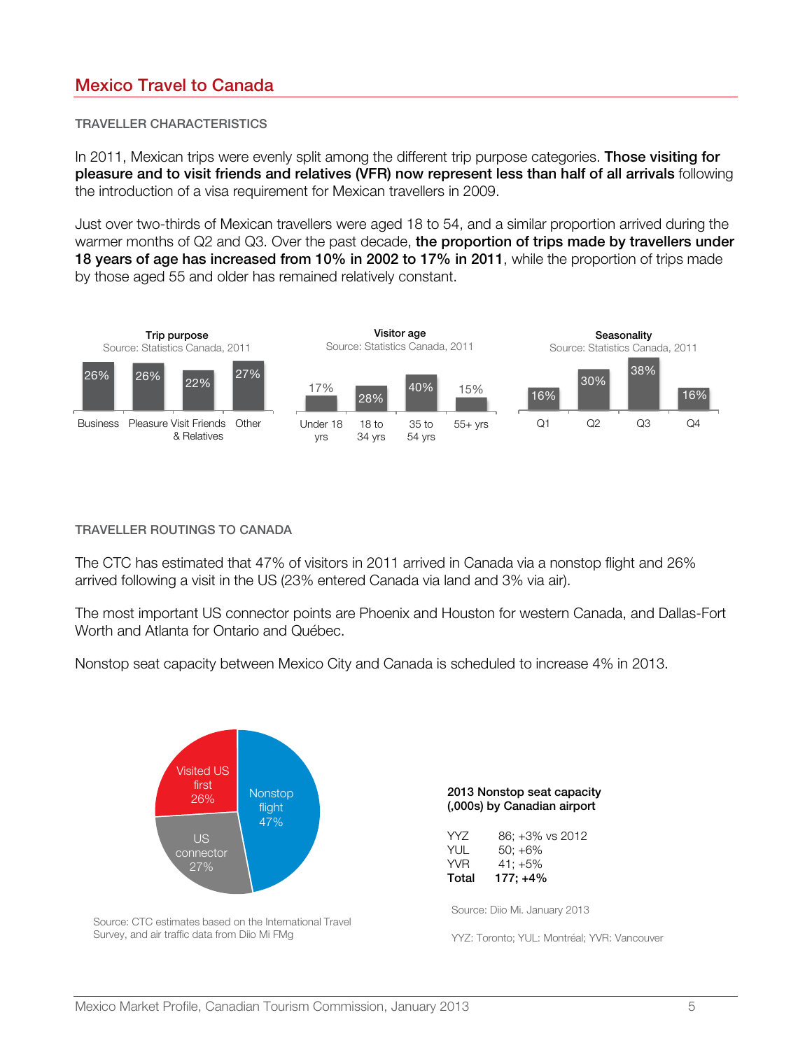# <span id="page-4-0"></span>Mexico Travel to Canada

## TRAVELLER CHARACTERISTICS

In 2011, Mexican trips were evenly split among the different trip purpose categories. **Those visiting for** pleasure and to visit friends and relatives (VFR) now represent less than half of all arrivals following the introduction of a visa requirement for Mexican travellers in 2009.

Just over two-thirds of Mexican travellers were aged 18 to 54, and a similar proportion arrived during the warmer months of Q2 and Q3. Over the past decade, the proportion of trips made by travellers under 18 years of age has increased from 10% in 2002 to 17% in 2011, while the proportion of trips made by those aged 55 and older has remained relatively constant.



#### TRAVELLER ROUTINGS TO CANADA

The CTC has estimated that 47% of visitors in 2011 arrived in Canada via a nonstop flight and 26% arrived following a visit in the US (23% entered Canada via land and 3% via air).

The most important US connector points are Phoenix and Houston for western Canada, and Dallas-Fort Worth and Atlanta for Ontario and Québec.

Nonstop seat capacity between Mexico City and Canada is scheduled to increase 4% in 2013.



Source: CTC estimates based on the International Travel Survey, and air traffic data from Diio Mi FMg

| 2013 Nonstop seat capacity  |
|-----------------------------|
| (,000s) by Canadian airport |

| Total      | $177: +4\%$     |
|------------|-----------------|
| <b>YVR</b> | $41: +5\%$      |
| YUL        | $50: +6\%$      |
| YY7        | 86; +3% vs 2012 |

Source: Diio Mi. January 2013

YYZ: Toronto; YUL: Montréal; YVR: Vancouver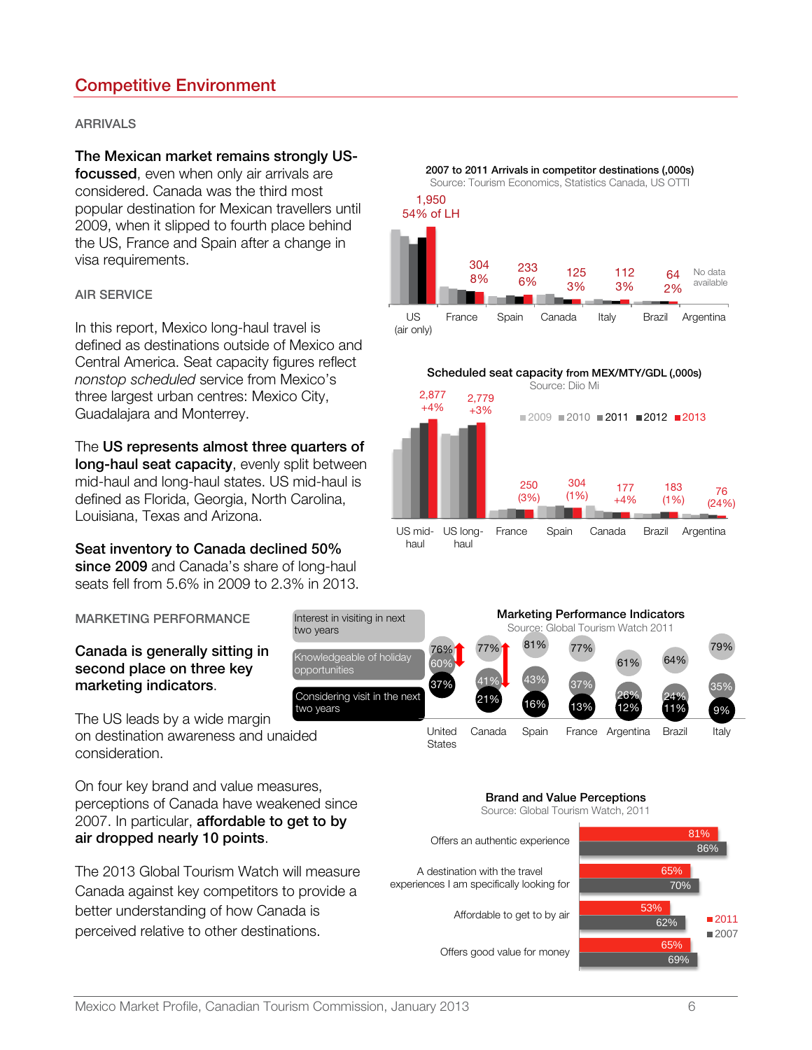# <span id="page-5-0"></span>Competitive Environment

## ARRIVALS

# The Mexican market remains strongly US-

focussed, even when only air arrivals are considered. Canada was the third most popular destination for Mexican travellers until 2009, when it slipped to fourth place behind the US, France and Spain after a change in visa requirements.

#### AIR SERVICE

In this report, Mexico long-haul travel is defined as destinations outside of Mexico and Central America. Seat capacity figures reflect nonstop scheduled service from Mexico's three largest urban centres: Mexico City, Guadalajara and Monterrey.

The US represents almost three quarters of long-haul seat capacity, evenly split between mid-haul and long-haul states. US mid-haul is defined as Florida, Georgia, North Carolina, Louisiana, Texas and Arizona.

Seat inventory to Canada declined 50% since 2009 and Canada's share of long-haul seats fell from 5.6% in 2009 to 2.3% in 2013.

MARKETING PERFORMANCE

# Canada is generally sitting in second place on three key marketing indicators.

The US leads by a wide margin on destination awareness and unaided consideration.

On four key brand and value measures, perceptions of Canada have weakened since 2007. In particular, **affordable to get to by** air dropped nearly 10 points.

The 2013 Global Tourism Watch will measure Canada against key competitors to provide a better understanding of how Canada is perceived relative to other destinations.



haul haul



#### Brand and Value Perceptions Source: Global Tourism Watch, 2011

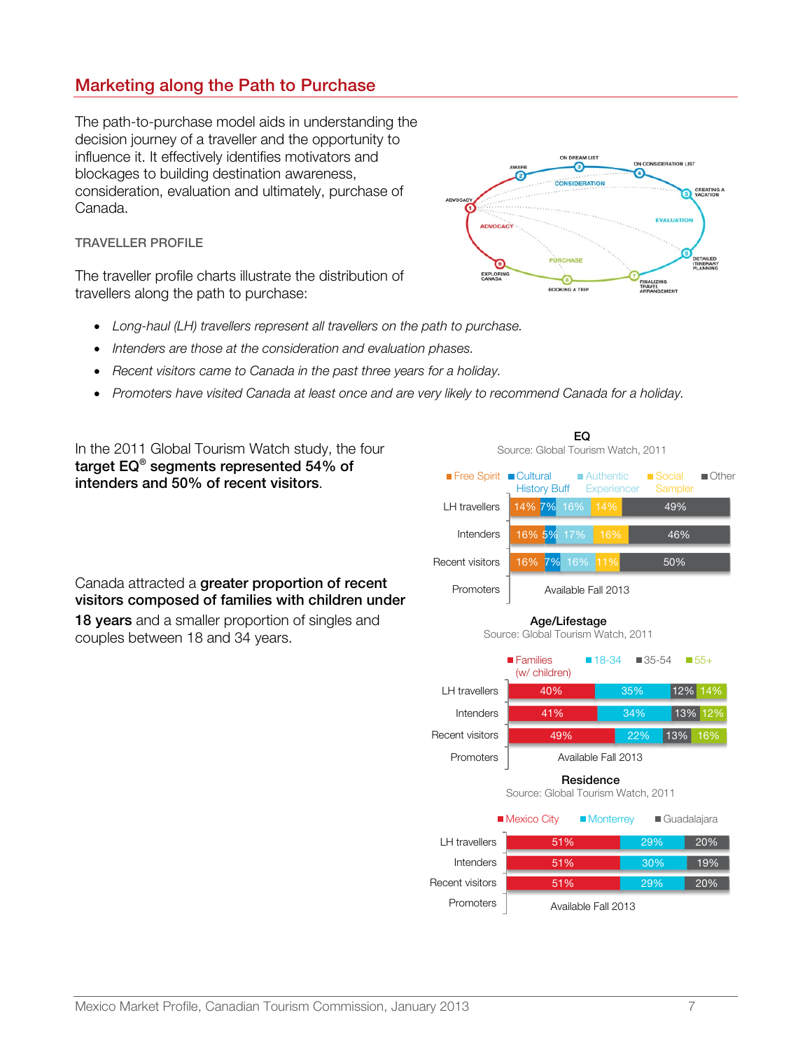# <span id="page-6-0"></span>Marketing along the Path to Purchase

The path-to-purchase model aids in understanding the decision journey of a traveller and the opportunity to influence it. It effectively identifies motivators and blockages to building destination awareness, consideration, evaluation and ultimately, purchase of Canada.

## TRAVELLER PROFILE

The traveller profile charts illustrate the distribution of travellers along the path to purchase:



EQ Source: Global Tourism Watch, 2011

- Long-haul (LH) travellers represent all travellers on the path to purchase.
- Intenders are those at the consideration and evaluation phases.
- Recent visitors came to Canada in the past three years for a holiday.
- Promoters have visited Canada at least once and are very likely to recommend Canada for a holiday.

In the 2011 Global Tourism Watch study, the four target EQ® segments represented 54% of intenders and 50% of recent visitors.

Canada attracted a greater proportion of recent visitors composed of families with children under 18 years and a smaller proportion of singles and couples between 18 and 34 years.

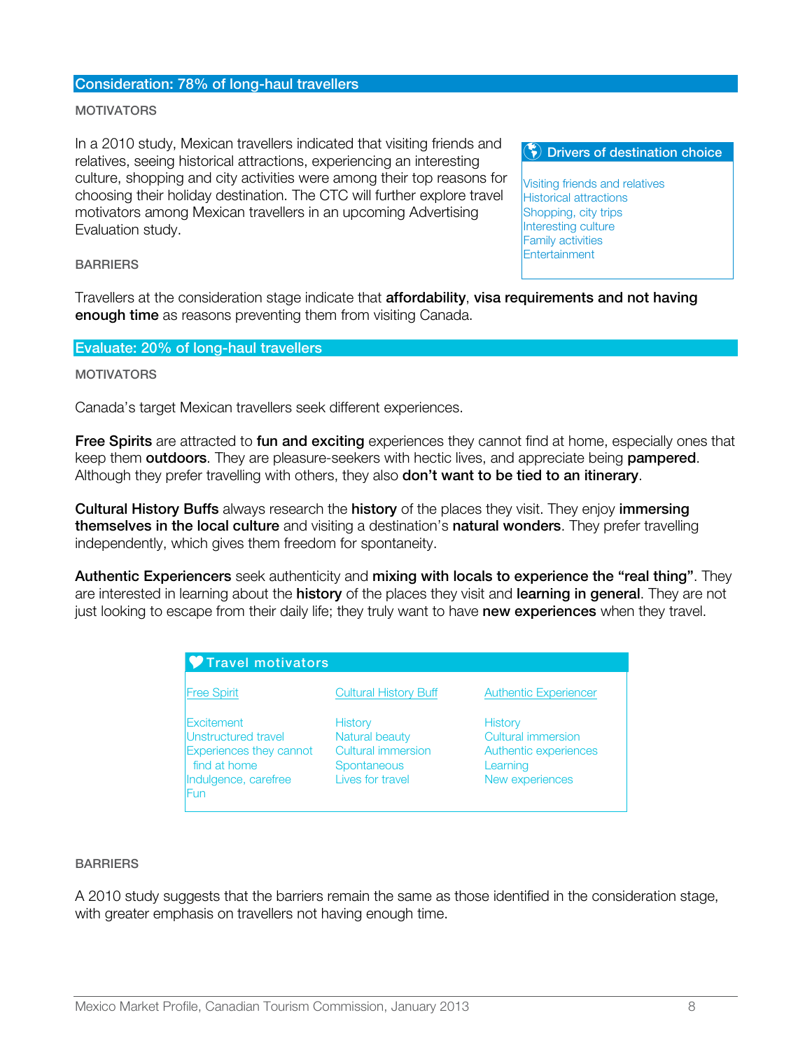## Consideration: 78% of long-haul travellers

#### **MOTIVATORS**

In a 2010 study, Mexican travellers indicated that visiting friends and relatives, seeing historical attractions, experiencing an interesting culture, shopping and city activities were among their top reasons for choosing their holiday destination. The CTC will further explore travel motivators among Mexican travellers in an upcoming Advertising Evaluation study.

 $\left(\begin{matrix} \bullet \\ \bullet \end{matrix}\right)$  Drivers of destination choice

Visiting friends and relatives Historical attractions Shopping, city trips Interesting culture Family activities Entertainment

#### **BARRIERS**

Travellers at the consideration stage indicate that **affordability, visa requirements and not having** enough time as reasons preventing them from visiting Canada.

#### Evaluate: 20% of long-haul travellers

#### **MOTIVATORS**

Canada's target Mexican travellers seek different experiences.

Free Spirits are attracted to fun and exciting experiences they cannot find at home, especially ones that keep them **outdoors**. They are pleasure-seekers with hectic lives, and appreciate being **pampered**. Although they prefer travelling with others, they also **don't want to be tied to an itinerary**.

**Cultural History Buffs** always research the **history** of the places they visit. They enjoy immersing themselves in the local culture and visiting a destination's natural wonders. They prefer travelling independently, which gives them freedom for spontaneity.

Authentic Experiencers seek authenticity and mixing with locals to experience the "real thing". They are interested in learning about the **history** of the places they visit and **learning in general**. They are not just looking to escape from their daily life; they truly want to have new experiences when they travel.

| Travel motivators                                                                                                  |                                                                                    |                                                                                       |  |  |  |
|--------------------------------------------------------------------------------------------------------------------|------------------------------------------------------------------------------------|---------------------------------------------------------------------------------------|--|--|--|
| <b>Free Spirit</b>                                                                                                 | <b>Cultural History Buff</b>                                                       | <b>Authentic Experiencer</b>                                                          |  |  |  |
| Excitement<br>Unstructured travel<br><b>Experiences they cannot</b><br>find at home<br>Indulgence, carefree<br>Fun | History<br>Natural beauty<br>Cultural immersion<br>Spontaneous<br>Lives for travel | History<br>Cultural immersion<br>Authentic experiences<br>Learning<br>New experiences |  |  |  |

#### **BARRIERS**

A 2010 study suggests that the barriers remain the same as those identified in the consideration stage, with greater emphasis on travellers not having enough time.